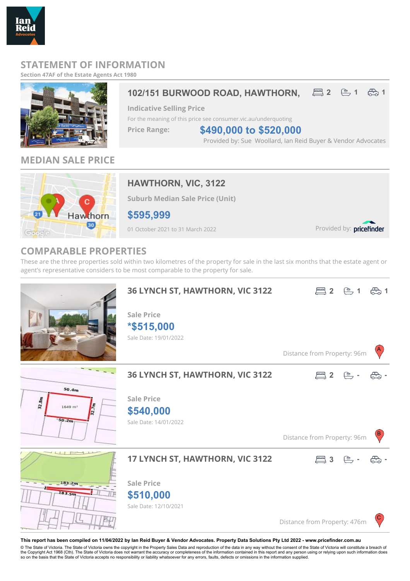## **STATEMENT OF INFORMATION**

**Section 47AF of the Estate Agents Act 1980**

Reid



## **MEDIAN SALE PRICE**



## **HAWTHORN, VIC, 3122**

**Suburb Median Sale Price (Unit)**

**\$595,999**

01 October 2021 to 31 March 2022

Provided by: pricefinder

## **COMPARABLE PROPERTIES**

These are the three properties sold within two kilometres of the property for sale in the last six months that the estate agent or agent's representative considers to be most comparable to the property for sale.



**This report has been compiled on 11/04/2022 by Ian Reid Buyer & Vendor Advocates. Property Data Solutions Pty Ltd 2022 - www.pricefinder.com.au**

© The State of Victoria. The State of Victoria owns the copyright in the Property Sales Data and reproduction of the data in any way without the consent of the State of Victoria will constitute a breach of<br>the Copyright Ac so on the basis that the State of Victoria accepts no responsibility or liability whatsoever for any errors, faults, defects or omissions in the information supplied.